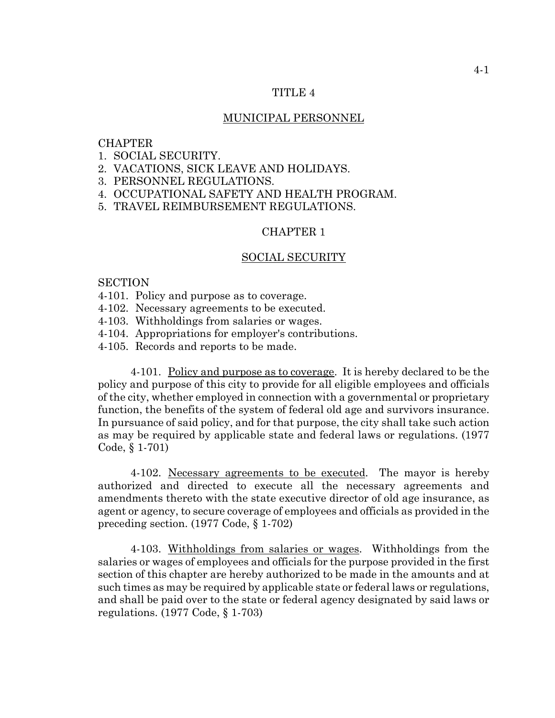## TITLE 4

## MUNICIPAL PERSONNEL

## **CHAPTER**

- 1. SOCIAL SECURITY.
- 2. VACATIONS, SICK LEAVE AND HOLIDAYS.
- 3. PERSONNEL REGULATIONS.
- 4. OCCUPATIONAL SAFETY AND HEALTH PROGRAM.
- 5. TRAVEL REIMBURSEMENT REGULATIONS.

# CHAPTER 1

#### SOCIAL SECURITY

#### SECTION

- 4-101. Policy and purpose as to coverage.
- 4-102. Necessary agreements to be executed.
- 4-103. Withholdings from salaries or wages.
- 4-104. Appropriations for employer's contributions.
- 4-105. Records and reports to be made.

4-101. Policy and purpose as to coverage. It is hereby declared to be the policy and purpose of this city to provide for all eligible employees and officials of the city, whether employed in connection with a governmental or proprietary function, the benefits of the system of federal old age and survivors insurance. In pursuance of said policy, and for that purpose, the city shall take such action as may be required by applicable state and federal laws or regulations. (1977 Code, § 1-701)

4-102. Necessary agreements to be executed. The mayor is hereby authorized and directed to execute all the necessary agreements and amendments thereto with the state executive director of old age insurance, as agent or agency, to secure coverage of employees and officials as provided in the preceding section. (1977 Code, § 1-702)

4-103. Withholdings from salaries or wages. Withholdings from the salaries or wages of employees and officials for the purpose provided in the first section of this chapter are hereby authorized to be made in the amounts and at such times as may be required by applicable state or federal laws or regulations, and shall be paid over to the state or federal agency designated by said laws or regulations. (1977 Code, § 1-703)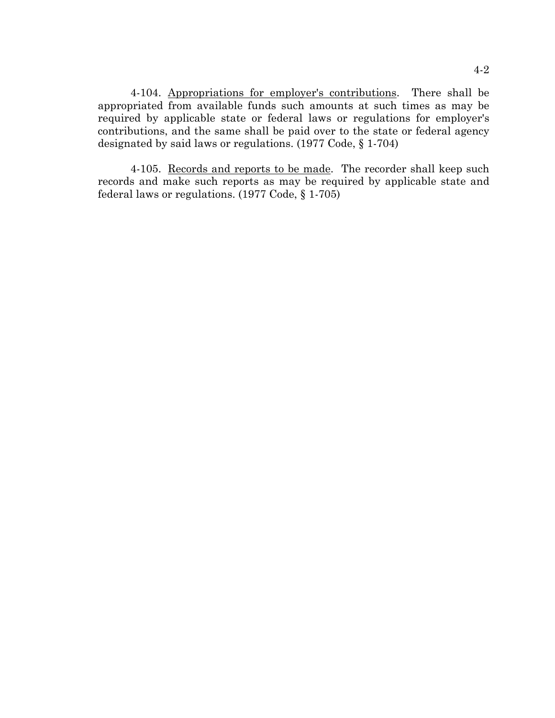4-104. Appropriations for employer's contributions. There shall be appropriated from available funds such amounts at such times as may be required by applicable state or federal laws or regulations for employer's contributions, and the same shall be paid over to the state or federal agency designated by said laws or regulations. (1977 Code, § 1-704)

4-105. Records and reports to be made. The recorder shall keep such records and make such reports as may be required by applicable state and federal laws or regulations. (1977 Code, § 1-705)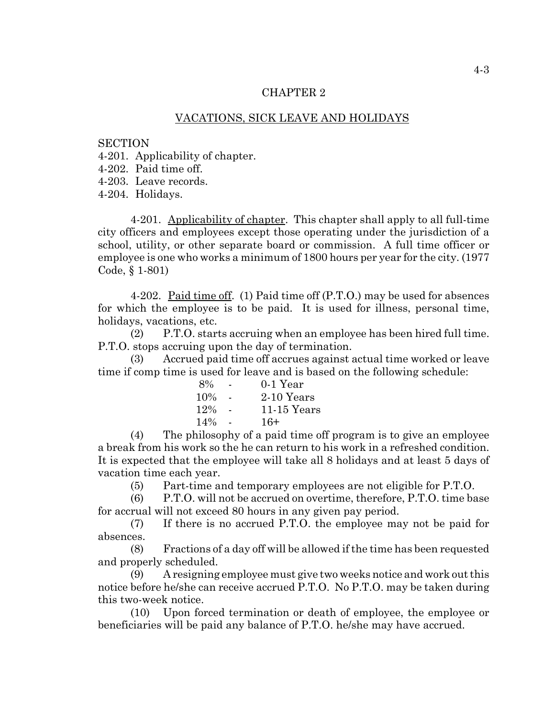# VACATIONS, SICK LEAVE AND HOLIDAYS

#### **SECTION**

4-201. Applicability of chapter.

4-202. Paid time off.

4-203. Leave records.

4-204. Holidays.

4-201. Applicability of chapter. This chapter shall apply to all full-time city officers and employees except those operating under the jurisdiction of a school, utility, or other separate board or commission. A full time officer or employee is one who works a minimum of 1800 hours per year for the city. (1977 Code, § 1-801)

4-202. Paid time off. (1) Paid time off (P.T.O.) may be used for absences for which the employee is to be paid. It is used for illness, personal time, holidays, vacations, etc.

(2) P.T.O. starts accruing when an employee has been hired full time. P.T.O. stops accruing upon the day of termination.

(3) Accrued paid time off accrues against actual time worked or leave time if comp time is used for leave and is based on the following schedule:

| 8%  | $0-1$ Year    |
|-----|---------------|
| 10% | $2-10$ Years  |
| 12% | $11-15$ Years |
| 14% | $16+$         |

(4) The philosophy of a paid time off program is to give an employee a break from his work so the he can return to his work in a refreshed condition. It is expected that the employee will take all 8 holidays and at least 5 days of vacation time each year.

(5) Part-time and temporary employees are not eligible for P.T.O.

(6) P.T.O. will not be accrued on overtime, therefore, P.T.O. time base for accrual will not exceed 80 hours in any given pay period.

(7) If there is no accrued P.T.O. the employee may not be paid for absences.

(8) Fractions of a day off will be allowed if the time has been requested and properly scheduled.

(9) A resigning employee must give two weeks notice and work out this notice before he/she can receive accrued P.T.O. No P.T.O. may be taken during this two-week notice.

(10) Upon forced termination or death of employee, the employee or beneficiaries will be paid any balance of P.T.O. he/she may have accrued.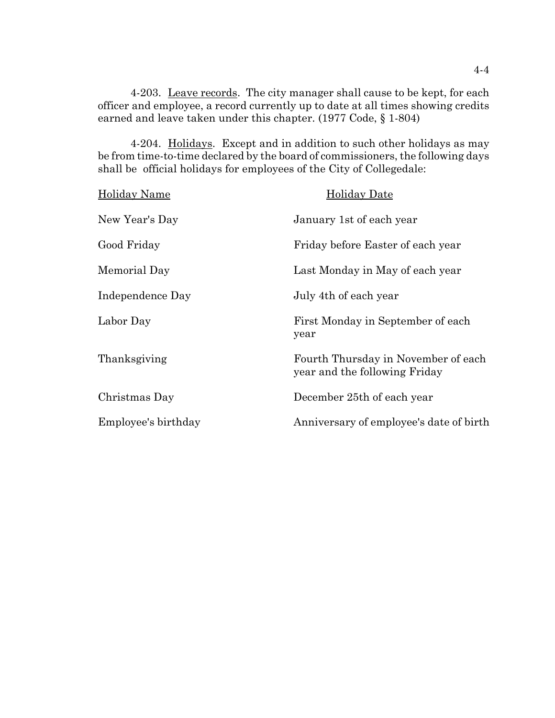4-203. Leave records. The city manager shall cause to be kept, for each officer and employee, a record currently up to date at all times showing credits earned and leave taken under this chapter. (1977 Code, § 1-804)

4-204. Holidays. Except and in addition to such other holidays as may be from time-to-time declared by the board of commissioners, the following days shall be official holidays for employees of the City of Collegedale:

| <b>Holiday Name</b> | <b>Holiday Date</b>                                                  |
|---------------------|----------------------------------------------------------------------|
| New Year's Day      | January 1st of each year                                             |
| Good Friday         | Friday before Easter of each year                                    |
| Memorial Day        | Last Monday in May of each year                                      |
| Independence Day    | July 4th of each year                                                |
| Labor Day           | First Monday in September of each<br>year                            |
| Thanksgiving        | Fourth Thursday in November of each<br>year and the following Friday |
| Christmas Day       | December 25th of each year                                           |
| Employee's birthday | Anniversary of employee's date of birth                              |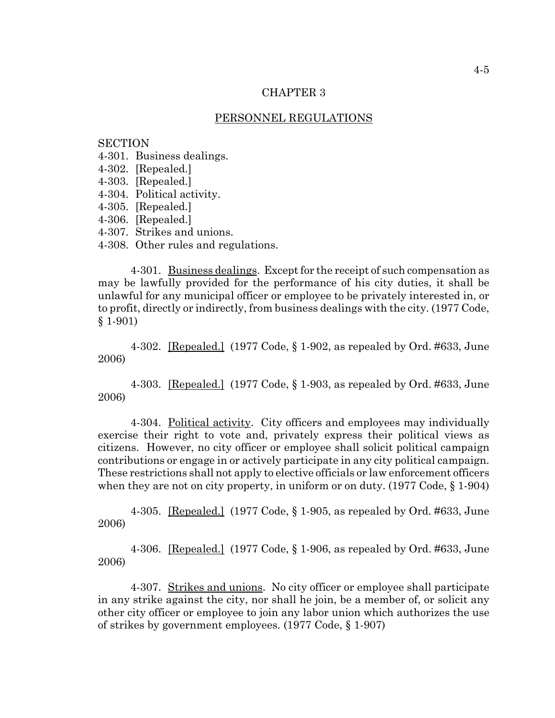## PERSONNEL REGULATIONS

### **SECTION**

- 4-301. Business dealings.
- 4-302. [Repealed.]
- 4-303. [Repealed.]
- 4-304. Political activity.
- 4-305. [Repealed.]
- 4-306. [Repealed.]
- 4-307. Strikes and unions.
- 4-308. Other rules and regulations.

4-301. Business dealings. Except for the receipt of such compensation as may be lawfully provided for the performance of his city duties, it shall be unlawful for any municipal officer or employee to be privately interested in, or to profit, directly or indirectly, from business dealings with the city. (1977 Code, § 1-901)

4-302. [Repealed.] (1977 Code, § 1-902, as repealed by Ord. #633, June 2006)

4-303. [Repealed.] (1977 Code, § 1-903, as repealed by Ord. #633, June 2006)

4-304. Political activity. City officers and employees may individually exercise their right to vote and, privately express their political views as citizens. However, no city officer or employee shall solicit political campaign contributions or engage in or actively participate in any city political campaign. These restrictions shall not apply to elective officials or law enforcement officers when they are not on city property, in uniform or on duty. (1977 Code,  $\S 1-904$ )

4-305. [Repealed.] (1977 Code, § 1-905, as repealed by Ord. #633, June 2006)

4-306. [Repealed.] (1977 Code, § 1-906, as repealed by Ord. #633, June 2006)

4-307. Strikes and unions. No city officer or employee shall participate in any strike against the city, nor shall he join, be a member of, or solicit any other city officer or employee to join any labor union which authorizes the use of strikes by government employees. (1977 Code, § 1-907)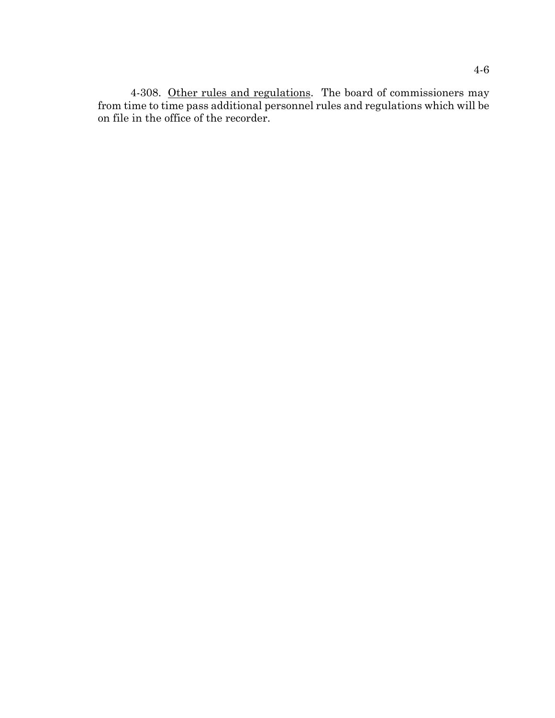4-308. Other rules and regulations. The board of commissioners may from time to time pass additional personnel rules and regulations which will be on file in the office of the recorder.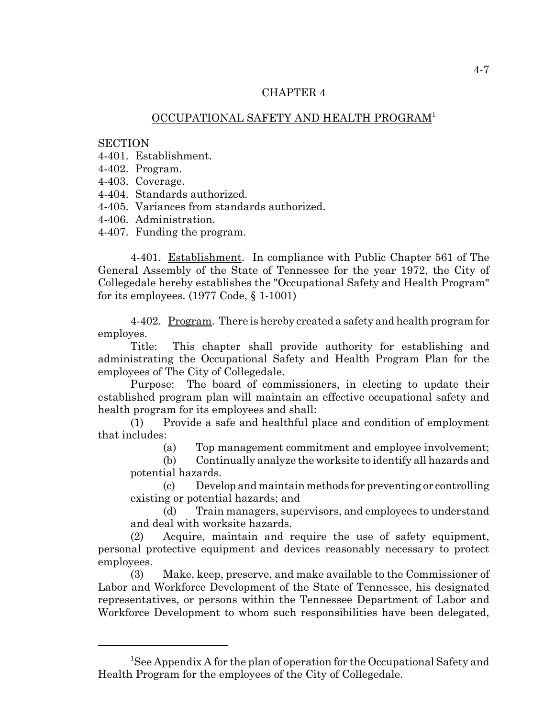# OCCUPATIONAL SAFETY AND HEALTH PROGRAM1

### **SECTION**

4-401. Establishment.

4-402. Program.

4-403. Coverage.

4-404. Standards authorized.

4-405. Variances from standards authorized.

4-406. Administration.

4-407. Funding the program.

4-401. Establishment. In compliance with Public Chapter 561 of The General Assembly of the State of Tennessee for the year 1972, the City of Collegedale hereby establishes the "Occupational Safety and Health Program" for its employees. (1977 Code, § 1-1001)

4-402. Program. There is hereby created a safety and health program for employes.

Title: This chapter shall provide authority for establishing and administrating the Occupational Safety and Health Program Plan for the employees of The City of Collegedale.

Purpose: The board of commissioners, in electing to update their established program plan will maintain an effective occupational safety and health program for its employees and shall:

(1) Provide a safe and healthful place and condition of employment that includes:

(a) Top management commitment and employee involvement;

(b) Continually analyze the worksite to identify all hazards and potential hazards.

(c) Develop and maintain methods for preventing or controlling existing or potential hazards; and

(d) Train managers, supervisors, and employees to understand and deal with worksite hazards.

(2) Acquire, maintain and require the use of safety equipment, personal protective equipment and devices reasonably necessary to protect employees.

(3) Make, keep, preserve, and make available to the Commissioner of Labor and Workforce Development of the State of Tennessee, his designated representatives, or persons within the Tennessee Department of Labor and Workforce Development to whom such responsibilities have been delegated,

<sup>&</sup>lt;sup>1</sup>See Appendix A for the plan of operation for the Occupational Safety and Health Program for the employees of the City of Collegedale.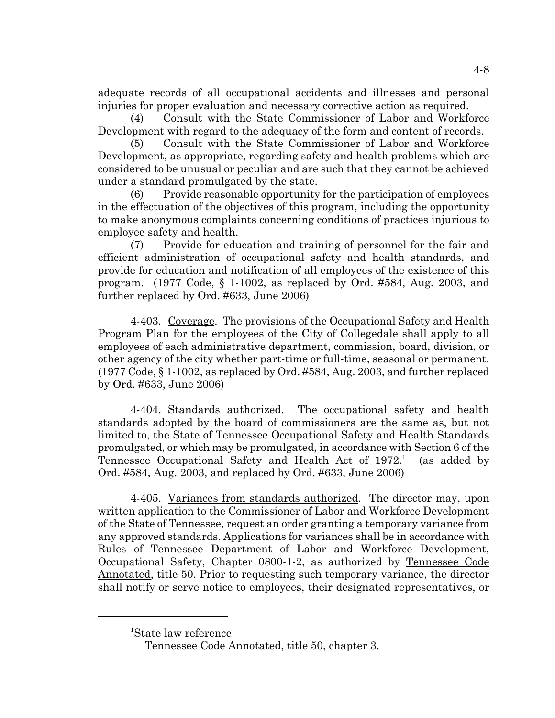adequate records of all occupational accidents and illnesses and personal injuries for proper evaluation and necessary corrective action as required.

(4) Consult with the State Commissioner of Labor and Workforce Development with regard to the adequacy of the form and content of records.

(5) Consult with the State Commissioner of Labor and Workforce Development, as appropriate, regarding safety and health problems which are considered to be unusual or peculiar and are such that they cannot be achieved under a standard promulgated by the state.

(6) Provide reasonable opportunity for the participation of employees in the effectuation of the objectives of this program, including the opportunity to make anonymous complaints concerning conditions of practices injurious to employee safety and health.

(7) Provide for education and training of personnel for the fair and efficient administration of occupational safety and health standards, and provide for education and notification of all employees of the existence of this program. (1977 Code, § 1-1002, as replaced by Ord. #584, Aug. 2003, and further replaced by Ord. #633, June 2006)

4-403. Coverage. The provisions of the Occupational Safety and Health Program Plan for the employees of the City of Collegedale shall apply to all employees of each administrative department, commission, board, division, or other agency of the city whether part-time or full-time, seasonal or permanent. (1977 Code, § 1-1002, as replaced by Ord. #584, Aug. 2003, and further replaced by Ord. #633, June 2006)

4-404. Standards authorized. The occupational safety and health standards adopted by the board of commissioners are the same as, but not limited to, the State of Tennessee Occupational Safety and Health Standards promulgated, or which may be promulgated, in accordance with Section 6 of the Tennessee Occupational Safety and Health Act of 1972.<sup>1</sup> (as added by Ord. #584, Aug. 2003, and replaced by Ord. #633, June 2006)

4-405. Variances from standards authorized. The director may, upon written application to the Commissioner of Labor and Workforce Development of the State of Tennessee, request an order granting a temporary variance from any approved standards. Applications for variances shall be in accordance with Rules of Tennessee Department of Labor and Workforce Development, Occupational Safety, Chapter 0800-1-2, as authorized by Tennessee Code Annotated, title 50. Prior to requesting such temporary variance, the director shall notify or serve notice to employees, their designated representatives, or

<sup>1</sup> State law reference

Tennessee Code Annotated, title 50, chapter 3.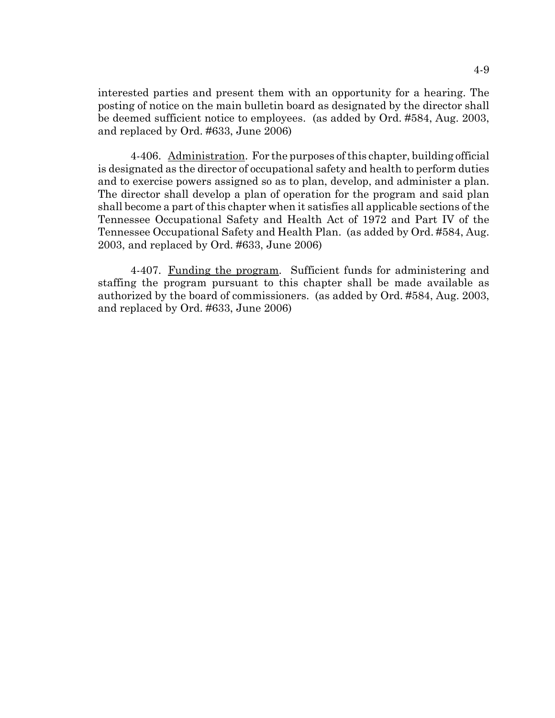interested parties and present them with an opportunity for a hearing. The posting of notice on the main bulletin board as designated by the director shall be deemed sufficient notice to employees. (as added by Ord. #584, Aug. 2003, and replaced by Ord. #633, June 2006)

4-406. Administration. For the purposes of this chapter, building official is designated as the director of occupational safety and health to perform duties and to exercise powers assigned so as to plan, develop, and administer a plan. The director shall develop a plan of operation for the program and said plan shall become a part of this chapter when it satisfies all applicable sections of the Tennessee Occupational Safety and Health Act of 1972 and Part IV of the Tennessee Occupational Safety and Health Plan. (as added by Ord. #584, Aug. 2003, and replaced by Ord. #633, June 2006)

4-407. Funding the program. Sufficient funds for administering and staffing the program pursuant to this chapter shall be made available as authorized by the board of commissioners. (as added by Ord. #584, Aug. 2003, and replaced by Ord. #633, June 2006)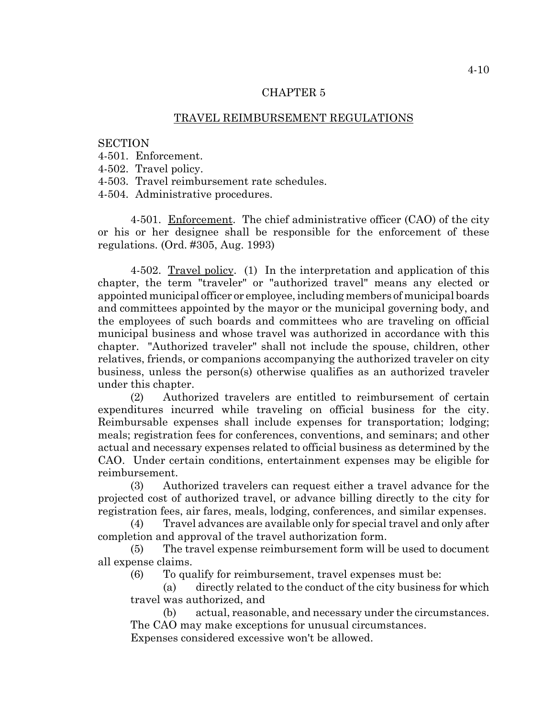# TRAVEL REIMBURSEMENT REGULATIONS

### **SECTION**

- 4-501. Enforcement.
- 4-502. Travel policy.
- 4-503. Travel reimbursement rate schedules.

4-504. Administrative procedures.

4-501. Enforcement. The chief administrative officer (CAO) of the city or his or her designee shall be responsible for the enforcement of these regulations. (Ord. #305, Aug. 1993)

4-502. Travel policy. (1) In the interpretation and application of this chapter, the term "traveler" or "authorized travel" means any elected or appointed municipal officer or employee, including members of municipal boards and committees appointed by the mayor or the municipal governing body, and the employees of such boards and committees who are traveling on official municipal business and whose travel was authorized in accordance with this chapter. "Authorized traveler" shall not include the spouse, children, other relatives, friends, or companions accompanying the authorized traveler on city business, unless the person(s) otherwise qualifies as an authorized traveler under this chapter.

(2) Authorized travelers are entitled to reimbursement of certain expenditures incurred while traveling on official business for the city. Reimbursable expenses shall include expenses for transportation; lodging; meals; registration fees for conferences, conventions, and seminars; and other actual and necessary expenses related to official business as determined by the CAO. Under certain conditions, entertainment expenses may be eligible for reimbursement.

(3) Authorized travelers can request either a travel advance for the projected cost of authorized travel, or advance billing directly to the city for registration fees, air fares, meals, lodging, conferences, and similar expenses.

(4) Travel advances are available only for special travel and only after completion and approval of the travel authorization form.

(5) The travel expense reimbursement form will be used to document all expense claims.

(6) To qualify for reimbursement, travel expenses must be:

(a) directly related to the conduct of the city business for which travel was authorized, and

(b) actual, reasonable, and necessary under the circumstances. The CAO may make exceptions for unusual circumstances. Expenses considered excessive won't be allowed.